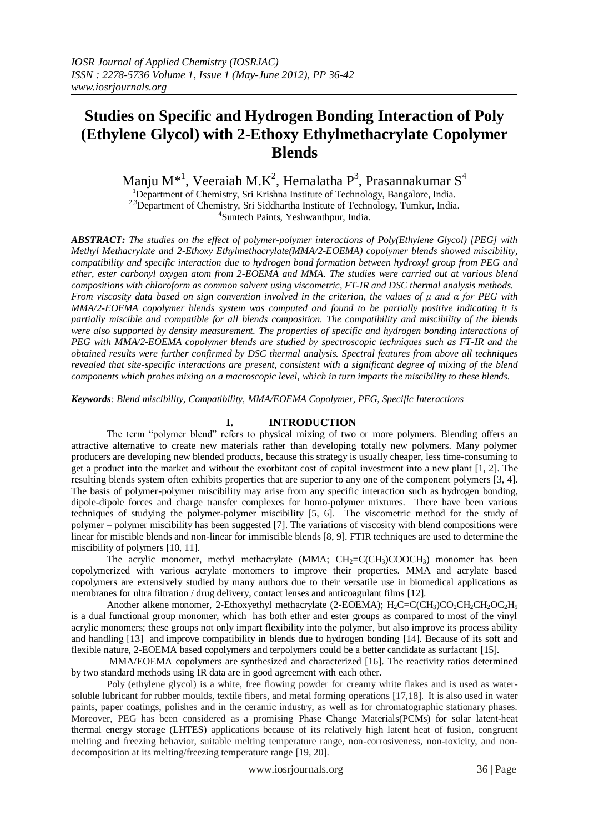Manju M $^{\ast1}$ , Veeraiah M.K $^2$ , Hemalatha P $^3$ , Prasannakumar S $^4$ 

<sup>1</sup>Department of Chemistry, Sri Krishna Institute of Technology, Bangalore, India. <sup>2,3</sup>Department of Chemistry, Sri Siddhartha Institute of Technology, Tumkur, India. 4 Suntech Paints, Yeshwanthpur, India.

*ABSTRACT: The studies on the effect of polymer-polymer interactions of Poly(Ethylene Glycol) [PEG] with Methyl Methacrylate and 2-Ethoxy Ethylmethacrylate(MMA/2-EOEMA) copolymer blends showed miscibility, compatibility and specific interaction due to hydrogen bond formation between hydroxyl group from PEG and ether, ester carbonyl oxygen atom from 2-EOEMA and MMA. The studies were carried out at various blend compositions with chloroform as common solvent using viscometric, FT-IR and DSC thermal analysis methods. From viscosity data based on sign convention involved in the criterion, the values of μ and α for PEG with MMA/2-EOEMA copolymer blends system was computed and found to be partially positive indicating it is partially miscible and compatible for all blends composition. The compatibility and miscibility of the blends were also supported by density measurement. The properties of specific and hydrogen bonding interactions of PEG with MMA/2-EOEMA copolymer blends are studied by spectroscopic techniques such as FT-IR and the obtained results were further confirmed by DSC thermal analysis. Spectral features from above all techniques revealed that site-specific interactions are present, consistent with a significant degree of mixing of the blend components which probes mixing on a macroscopic level, which in turn imparts the miscibility to these blends.*

*Keywords: Blend miscibility, Compatibility, MMA/EOEMA Copolymer, PEG, Specific Interactions*

# **I. INTRODUCTION**

The term "polymer blend" refers to physical mixing of two or more polymers. Blending offers an attractive alternative to create new materials rather than developing totally new polymers. Many polymer producers are developing new blended products, because this strategy is usually cheaper, less time-consuming to get a product into the market and without the exorbitant cost of capital investment into a new plant [1, 2]. The resulting blends system often exhibits properties that are superior to any one of the component polymers [3, 4]. The basis of polymer-polymer miscibility may arise from any specific interaction such as hydrogen bonding, dipole-dipole forces and charge transfer complexes for homo-polymer mixtures. There have been various techniques of studying the polymer-polymer miscibility [5, 6]. The viscometric method for the study of polymer – polymer miscibility has been suggested [7]. The variations of viscosity with blend compositions were linear for miscible blends and non-linear for immiscible blends [8, 9]. FTIR techniques are used to determine the miscibility of polymers [10, 11].

The acrylic monomer, methyl methacrylate (MMA;  $CH_2=C(CH_3)COOCH_3$ ) monomer has been copolymerized with various acrylate monomers to improve their properties. MMA and acrylate based copolymers are extensively studied by many authors due to their versatile use in biomedical applications as membranes for ultra filtration / drug delivery, contact lenses and anticoagulant films [12].

Another alkene monomer, 2-Ethoxyethyl methacrylate (2-EOEMA);  $H_2C=C(CH_3)CO_2CH_2CH_2OC_2H_5$ is a dual functional group monomer, which has both ether and ester groups as compared to most of the vinyl acrylic monomers; these groups not only impart flexibility into the polymer, but also improve its process ability and handling [13] and improve compatibility in blends due to hydrogen bonding [14]. Because of its soft and flexible nature, 2-EOEMA based copolymers and terpolymers could be a better candidate as surfactant [15].

MMA/EOEMA copolymers are synthesized and characterized [16]. The reactivity ratios determined by two standard methods using IR data are in good agreement with each other.

Poly (ethylene glycol) is a white, free flowing powder for creamy white flakes and is used as watersoluble lubricant for rubber moulds, textile fibers, and metal forming operations [17,18]. It is also used in water paints, paper coatings, polishes and in the ceramic industry, as well as for chromatographic stationary phases. Moreover, PEG has been considered as a promising Phase Change Materials(PCMs) for solar latent-heat thermal energy storage (LHTES) applications because of its relatively high latent heat of fusion, congruent melting and freezing behavior, suitable melting temperature range, non-corrosiveness, non-toxicity, and nondecomposition at its melting/freezing temperature range [19, 20].

www.iosrjournals.org 36 | Page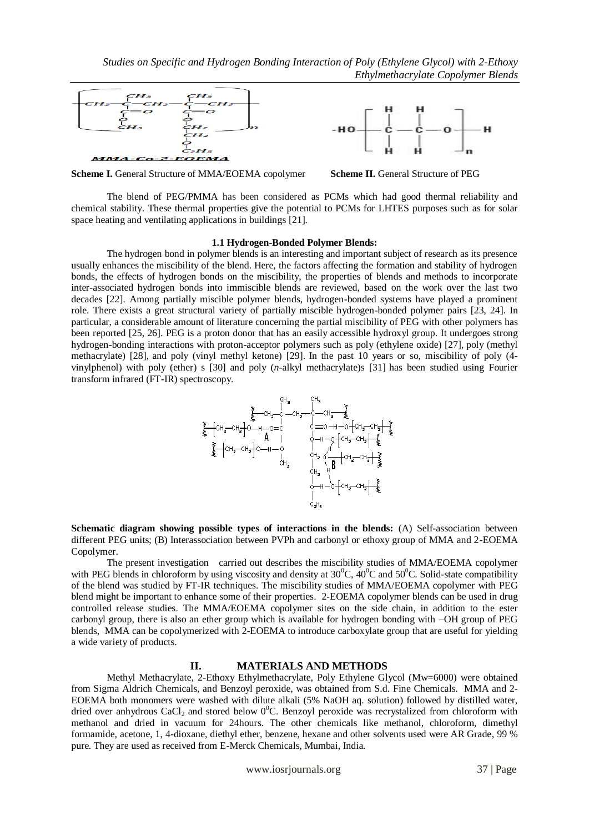



**Scheme I.** General Structure of MMA/EOEMA copolymer Scheme II. General Structure of PEG



The blend of PEG/PMMA has been considered as PCMs which had good thermal reliability and chemical stability. These thermal properties give the potential to PCMs for LHTES purposes such as for solar space heating and ventilating applications in buildings [21].

#### **1.1 Hydrogen-Bonded Polymer Blends:**

The hydrogen bond in polymer blends is an interesting and important subject of research as its presence usually enhances the miscibility of the blend. Here, the factors affecting the formation and stability of hydrogen bonds, the effects of hydrogen bonds on the miscibility, the properties of blends and methods to incorporate inter-associated hydrogen bonds into immiscible blends are reviewed, based on the work over the last two decades [22]. Among partially miscible polymer blends, hydrogen-bonded systems have played a prominent role. There exists a great structural variety of partially miscible hydrogen-bonded polymer pairs [23, 24]. In particular, a considerable amount of literature concerning the partial miscibility of PEG with other polymers has been reported [25, 26]. PEG is a proton donor that has an easily accessible hydroxyl group. It undergoes strong hydrogen-bonding interactions with proton-acceptor polymers such as poly (ethylene oxide) [27], poly (methyl methacrylate) [28], and poly (vinyl methyl ketone) [29]. In the past 10 years or so, miscibility of poly (4 vinylphenol) with poly (ether) s [30] and poly (*n*-alkyl methacrylate)s [31] has been studied using Fourier transform infrared (FT-IR) spectroscopy.



**Schematic diagram showing possible types of interactions in the blends:** (A) Self-association between different PEG units; (B) Interassociation between PVPh and carbonyl or ethoxy group of MMA and 2-EOEMA Copolymer.

The present investigation carried out describes the miscibility studies of MMA/EOEMA copolymer with PEG blends in chloroform by using viscosity and density at  $30^{\circ}$ C,  $40^{\circ}$ C and  $50^{\circ}$ C. Solid-state compatibility of the blend was studied by FT-IR techniques. The miscibility studies of MMA/EOEMA copolymer with PEG blend might be important to enhance some of their properties. 2-EOEMA copolymer blends can be used in drug controlled release studies. The MMA/EOEMA copolymer sites on the side chain, in addition to the ester carbonyl group, there is also an ether group which is available for hydrogen bonding with –OH group of PEG blends, MMA can be copolymerized with 2-EOEMA to introduce carboxylate group that are useful for yielding a wide variety of products.

## **II. MATERIALS AND METHODS**

Methyl Methacrylate, 2-Ethoxy Ethylmethacrylate, Poly Ethylene Glycol (Mw=6000) were obtained from Sigma Aldrich Chemicals, and Benzoyl peroxide, was obtained from S.d. Fine Chemicals. MMA and 2- EOEMA both monomers were washed with dilute alkali (5% NaOH aq. solution) followed by distilled water, dried over anhydrous CaCl<sub>2</sub> and stored below  $0^{\circ}$ C. Benzoyl peroxide was recrystalized from chloroform with methanol and dried in vacuum for 24hours. The other chemicals like methanol, chloroform, dimethyl formamide, acetone, 1, 4-dioxane, diethyl ether, benzene, hexane and other solvents used were AR Grade, 99 % pure. They are used as received from E-Merck Chemicals, Mumbai, India.

www.iosrjournals.org 37 | Page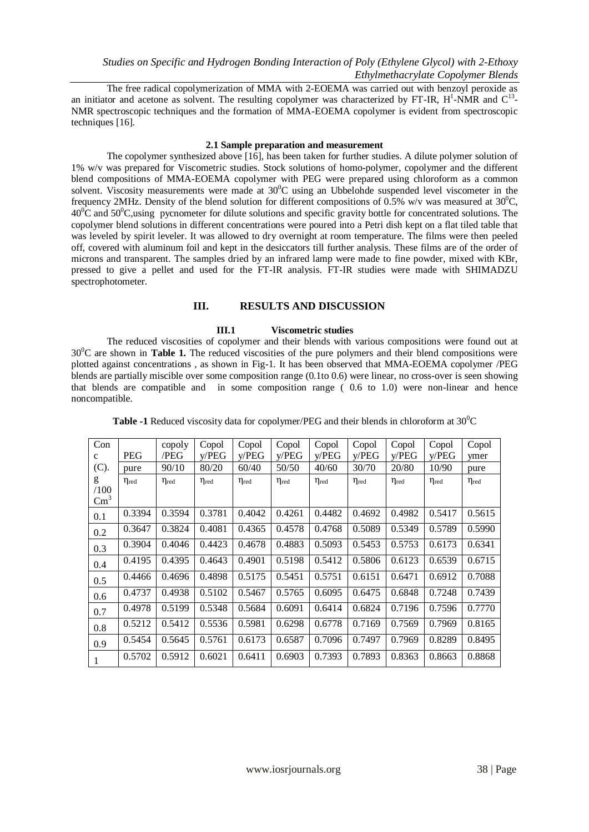The free radical copolymerization of MMA with 2-EOEMA was carried out with benzoyl peroxide as an initiator and acetone as solvent. The resulting copolymer was characterized by FT-IR,  $H^1$ -NMR and  $C^{13}$ -NMR spectroscopic techniques and the formation of MMA-EOEMA copolymer is evident from spectroscopic techniques [16].

#### **2.1 Sample preparation and measurement**

The copolymer synthesized above [16], has been taken for further studies. A dilute polymer solution of 1% w/v was prepared for Viscometric studies. Stock solutions of homo-polymer, copolymer and the different blend compositions of MMA-EOEMA copolymer with PEG were prepared using chloroform as a common solvent. Viscosity measurements were made at  $30^0C$  using an Ubbelohde suspended level viscometer in the frequency 2MHz. Density of the blend solution for different compositions of 0.5% w/v was measured at  $30^{\circ}$ C,  $40^{\circ}$ C and  $50^{\circ}$ C,using pycnometer for dilute solutions and specific gravity bottle for concentrated solutions. The copolymer blend solutions in different concentrations were poured into a Petri dish kept on a flat tiled table that was leveled by spirit leveler. It was allowed to dry overnight at room temperature. The films were then peeled off, covered with aluminum foil and kept in the desiccators till further analysis. These films are of the order of microns and transparent. The samples dried by an infrared lamp were made to fine powder, mixed with KBr, pressed to give a pellet and used for the FT-IR analysis. FT-IR studies were made with SHIMADZU spectrophotometer.

#### **III. RESULTS AND DISCUSSION**

#### **III.1 Viscometric studies**

The reduced viscosities of copolymer and their blends with various compositions were found out at 30<sup>0</sup>C are shown in **Table 1.** The reduced viscosities of the pure polymers and their blend compositions were plotted against concentrations , as shown in Fig-1. It has been observed that MMA-EOEMA copolymer /PEG blends are partially miscible over some composition range (0.1to 0.6) were linear, no cross-over is seen showing that blends are compatible and in some composition range ( 0.6 to 1.0) were non-linear and hence noncompatible.

| Con           |                     | copoly              | Copol               | Copol               | Copol               | Copol               | Copol               | Copol               | Copol               | Copol               |
|---------------|---------------------|---------------------|---------------------|---------------------|---------------------|---------------------|---------------------|---------------------|---------------------|---------------------|
| $\mathbf c$   | <b>PEG</b>          | /PEG                | v/PEG               | V/PEG               | v/PEG               | v/PEG               | v/PEG               | V/PEG               | v/PEG               | ymer                |
| (C).          | pure                | 90/10               | 80/20               | 60/40               | 50/50               | 40/60               | 30/70               | 20/80               | 10/90               | pure                |
| g             | $\eta_{\text{red}}$ | $\eta_{\text{red}}$ | $\eta_{\text{red}}$ | $\eta_{\text{red}}$ | $\eta_{\text{red}}$ | $\eta_{\text{red}}$ | $\eta_{\text{red}}$ | $\eta_{\text{red}}$ | $\eta_{\text{red}}$ | $\eta_{\text{red}}$ |
| /100          |                     |                     |                     |                     |                     |                     |                     |                     |                     |                     |
| $\text{Cm}^3$ |                     |                     |                     |                     |                     |                     |                     |                     |                     |                     |
| 0.1           | 0.3394              | 0.3594              | 0.3781              | 0.4042              | 0.4261              | 0.4482              | 0.4692              | 0.4982              | 0.5417              | 0.5615              |
| 0.2           | 0.3647              | 0.3824              | 0.4081              | 0.4365              | 0.4578              | 0.4768              | 0.5089              | 0.5349              | 0.5789              | 0.5990              |
| 0.3           | 0.3904              | 0.4046              | 0.4423              | 0.4678              | 0.4883              | 0.5093              | 0.5453              | 0.5753              | 0.6173              | 0.6341              |
| 0.4           | 0.4195              | 0.4395              | 0.4643              | 0.4901              | 0.5198              | 0.5412              | 0.5806              | 0.6123              | 0.6539              | 0.6715              |
| 0.5           | 0.4466              | 0.4696              | 0.4898              | 0.5175              | 0.5451              | 0.5751              | 0.6151              | 0.6471              | 0.6912              | 0.7088              |
| 0.6           | 0.4737              | 0.4938              | 0.5102              | 0.5467              | 0.5765              | 0.6095              | 0.6475              | 0.6848              | 0.7248              | 0.7439              |
| 0.7           | 0.4978              | 0.5199              | 0.5348              | 0.5684              | 0.6091              | 0.6414              | 0.6824              | 0.7196              | 0.7596              | 0.7770              |
| 0.8           | 0.5212              | 0.5412              | 0.5536              | 0.5981              | 0.6298              | 0.6778              | 0.7169              | 0.7569              | 0.7969              | 0.8165              |
| 0.9           | 0.5454              | 0.5645              | 0.5761              | 0.6173              | 0.6587              | 0.7096              | 0.7497              | 0.7969              | 0.8289              | 0.8495              |
|               | 0.5702              | 0.5912              | 0.6021              | 0.6411              | 0.6903              | 0.7393              | 0.7893              | 0.8363              | 0.8663              | 0.8868              |

| <b>Table -1</b> Reduced viscosity data for copolymer/PEG and their blends in chloroform at $30^{\circ}$ C |
|-----------------------------------------------------------------------------------------------------------|
|-----------------------------------------------------------------------------------------------------------|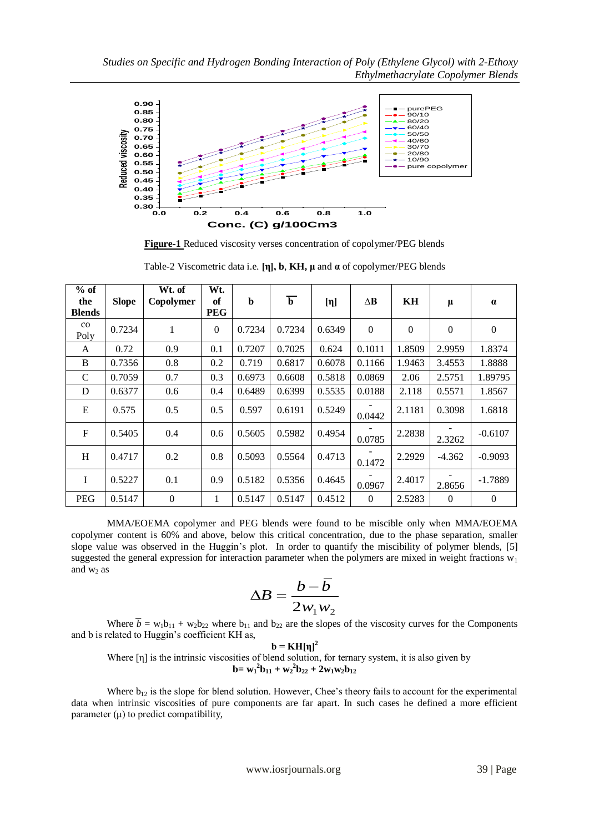

**Figure-1** Reduced viscosity verses concentration of copolymer/PEG blends

| $%$ of<br>the<br><b>Blends</b> | <b>Slope</b> | Wt. of<br>Copolymer | Wt.<br>of<br><b>PEG</b> | b      | $\overline{\mathbf{b}}$ | $[\eta]$ | $\Delta \mathbf{B}$ | KH               | μ            | $\alpha$       |
|--------------------------------|--------------|---------------------|-------------------------|--------|-------------------------|----------|---------------------|------------------|--------------|----------------|
| $_{\rm co}$<br>Poly            | 0.7234       | 1                   | $\Omega$                | 0.7234 | 0.7234                  | 0.6349   | $\Omega$            | $\boldsymbol{0}$ | $\mathbf{0}$ | $\mathbf{0}$   |
| A                              | 0.72         | 0.9                 | 0.1                     | 0.7207 | 0.7025                  | 0.624    | 0.1011              | 1.8509           | 2.9959       | 1.8374         |
| B                              | 0.7356       | 0.8                 | 0.2                     | 0.719  | 0.6817                  | 0.6078   | 0.1166              | 1.9463           | 3.4553       | 1.8888         |
| $\mathcal{C}$                  | 0.7059       | 0.7                 | 0.3                     | 0.6973 | 0.6608                  | 0.5818   | 0.0869              | 2.06             | 2.5751       | 1.89795        |
| D                              | 0.6377       | 0.6                 | 0.4                     | 0.6489 | 0.6399                  | 0.5535   | 0.0188              | 2.118            | 0.5571       | 1.8567         |
| E                              | 0.575        | 0.5                 | 0.5                     | 0.597  | 0.6191                  | 0.5249   | 0.0442              | 2.1181           | 0.3098       | 1.6818         |
| $\mathbf F$                    | 0.5405       | 0.4                 | 0.6                     | 0.5605 | 0.5982                  | 0.4954   | 0.0785              | 2.2838           | 2.3262       | $-0.6107$      |
| H                              | 0.4717       | 0.2                 | 0.8                     | 0.5093 | 0.5564                  | 0.4713   | 0.1472              | 2.2929           | $-4.362$     | $-0.9093$      |
| I                              | 0.5227       | 0.1                 | 0.9                     | 0.5182 | 0.5356                  | 0.4645   | 0.0967              | 2.4017           | 2.8656       | $-1.7889$      |
| <b>PEG</b>                     | 0.5147       | $\mathbf{0}$        | 1                       | 0.5147 | 0.5147                  | 0.4512   | $\mathbf{0}$        | 2.5283           | $\mathbf{0}$ | $\overline{0}$ |

Table-2 Viscometric data i.e. **[η], b**, **KH, μ** and **α** of copolymer/PEG blends

MMA/EOEMA copolymer and PEG blends were found to be miscible only when MMA/EOEMA copolymer content is 60% and above, below this critical concentration, due to the phase separation, smaller slope value was observed in the Huggin's plot. In order to quantify the miscibility of polymer blends, [5] suggested the general expression for interaction parameter when the polymers are mixed in weight fractions  $w_1$ and  $w_2$  as

$$
\Delta B = \frac{b - \overline{b}}{2w_1 w_2}
$$

Where  $\overline{b} = w_1b_{11} + w_2b_{22}$  where  $b_{11}$  and  $b_{22}$  are the slopes of the viscosity curves for the Components and b is related to Huggin's coefficient KH as,

 $$ Where [η] is the intrinsic viscosities of blend solution, for ternary system, it is also given by **b**= $w_1^2b_{11} + w_2^2b_{22} + 2w_1w_2b_{12}$ 

Where  $b_{12}$  is the slope for blend solution. However, Chee's theory fails to account for the experimental data when intrinsic viscosities of pure components are far apart. In such cases he defined a more efficient parameter  $(\mu)$  to predict compatibility,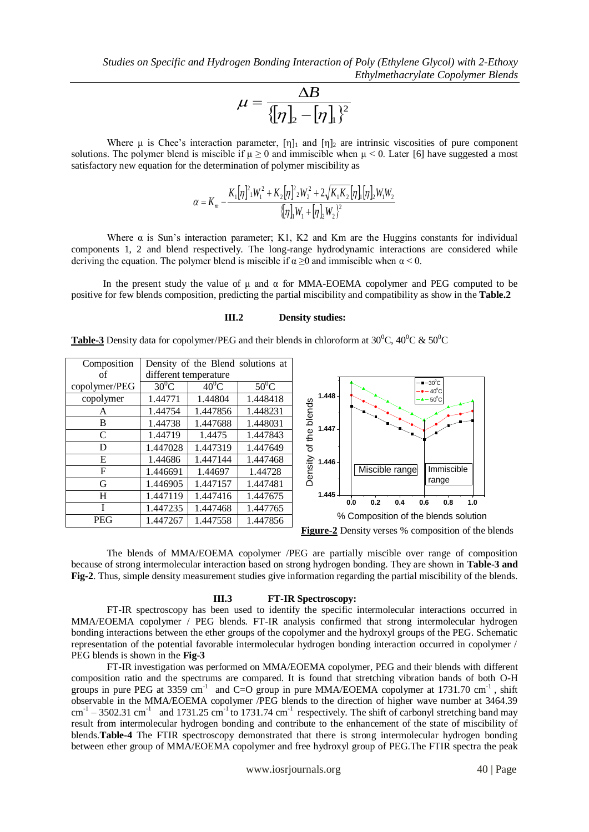$$
\mu = \frac{\Delta B}{\{[\eta]_2 - [\eta]_1\}^2}
$$

Where  $\mu$  is Chee's interaction parameter,  $[\eta]_1$  and  $[\eta]_2$  are intrinsic viscosities of pure component solutions. The polymer blend is miscible if  $\mu \ge 0$  and immiscible when  $\mu < 0$ . Later [6] have suggested a most satisfactory new equation for the determination of polymer miscibility as

$$
\alpha = K_m - \frac{K_1[\eta]^2 W_1^2 + K_2[\eta]^2 W_2^2 + 2\sqrt{K_1K_2}[\eta][\eta]_2 W_1 W_2}{\{\eta\}_1 W_1 + [\eta]_2 W_2\}^2}
$$

Where  $\alpha$  is Sun's interaction parameter; K1, K2 and Km are the Huggins constants for individual components 1, 2 and blend respectively. The long-range hydrodynamic interactions are considered while deriving the equation. The polymer blend is miscible if  $\alpha$  >0 and immiscible when  $\alpha$  < 0.

In the present study the value of  $\mu$  and  $\alpha$  for MMA-EOEMA copolymer and PEG computed to be positive for few blends composition, predicting the partial miscibility and compatibility as show in the **Table.2**

#### **III.2 Density studies:**

| Composition   | Density of the Blend solutions at |          |          |         |  |
|---------------|-----------------------------------|----------|----------|---------|--|
| of            | different temperature             |          |          |         |  |
| copolymer/PEG | $30^0$ C                          | $40^0C$  | $50^0$ C |         |  |
| copolymer     | 1.44771                           | 1.44804  | 1.448418 |         |  |
| A             | 1.44754                           | 1.447856 | 1.448231 | blends  |  |
| B             | 1.44738                           | 1.447688 | 1.448031 |         |  |
| C             | 1.44719                           | 1.4475   | 1.447843 | the     |  |
| D             | 1.447028                          | 1.447319 | 1.447649 | đ       |  |
| E             | 1.44686                           | 1.447144 | 1.447468 |         |  |
| F             | 1.446691                          | 1.44697  | 1.44728  | Density |  |
| G             | 1.446905                          | 1.447157 | 1.447481 |         |  |
| H             | 1.447119                          | 1.447416 | 1.447675 |         |  |
| T             | 1.447235                          | 1.447468 | 1.447765 |         |  |
| <b>PEG</b>    | 1.447267                          | 1.447558 | 1.447856 |         |  |



**Figure-2** Density verses % composition of the blends

The blends of MMA/EOEMA copolymer /PEG are partially miscible over range of composition because of strong intermolecular interaction based on strong hydrogen bonding. They are shown in **Table-3 and Fig-2**. Thus, simple density measurement studies give information regarding the partial miscibility of the blends.

#### **III.3 FT-IR Spectroscopy:**

FT-IR spectroscopy has been used to identify the specific intermolecular interactions occurred in MMA/EOEMA copolymer / PEG blends. FT-IR analysis confirmed that strong intermolecular hydrogen bonding interactions between the ether groups of the copolymer and the hydroxyl groups of the PEG. Schematic representation of the potential favorable intermolecular hydrogen bonding interaction occurred in copolymer / PEG blends is shown in the **Fig-3**

FT-IR investigation was performed on MMA/EOEMA copolymer, PEG and their blends with different composition ratio and the spectrums are compared. It is found that stretching vibration bands of both O-H groups in pure PEG at 3359 cm<sup>-1</sup> and C=O group in pure MMA/EOEMA copolymer at 1731.70 cm<sup>-1</sup>, shift observable in the MMA/EOEMA copolymer /PEG blends to the direction of higher wave number at 3464.39  $\text{cm}^{-1}$  – 3502.31 cm<sup>-1</sup> and 1731.25 cm<sup>-1</sup> to 1731.74 cm<sup>-1</sup> respectively. The shift of carbonyl stretching band may result from intermolecular hydrogen bonding and contribute to the enhancement of the state of miscibility of blends.**Table-4** The FTIR spectroscopy demonstrated that there is strong intermolecular hydrogen bonding between ether group of MMA/EOEMA copolymer and free hydroxyl group of PEG.The FTIR spectra the peak

www.iosrjournals.org 40 | Page

**Table-3** Density data for copolymer/PEG and their blends in chloroform at  $30^{\circ}$ C,  $40^{\circ}$ C &  $50^{\circ}$ C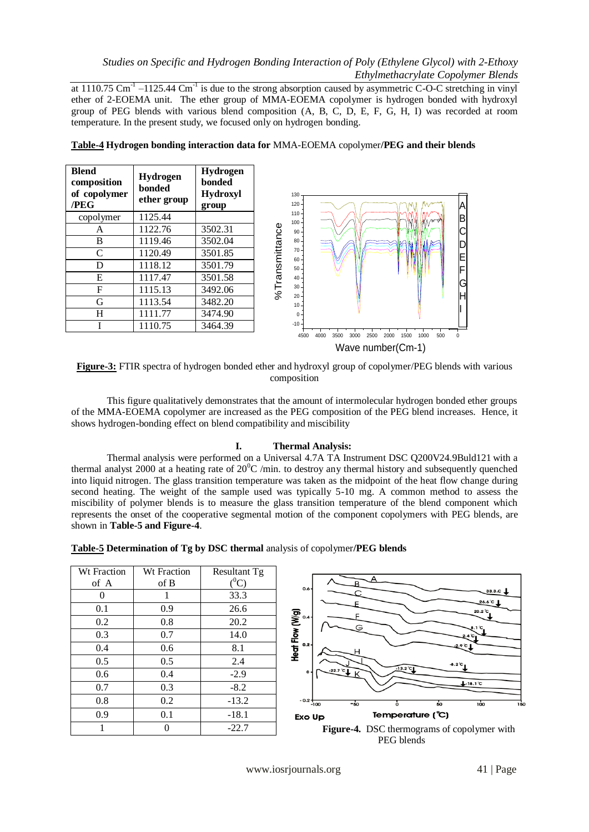at 1110.75 Cm<sup>-1</sup> –1125.44 Cm<sup>-1</sup> is due to the strong absorption caused by asymmetric C-O-C stretching in vinyl ether of 2-EOEMA unit. The ether group of MMA-EOEMA copolymer is hydrogen bonded with hydroxyl group of PEG blends with various blend composition (A, B, C, D, E, F, G, H, I) was recorded at room temperature. In the present study, we focused only on hydrogen bonding.

| <b>Blend</b><br>composition<br>of copolymer<br>/PEG | Hydrogen<br>bonded<br>ether group | Hydrogen<br>bonded<br>Hydroxyl<br>group | 130<br>$120 -$<br>A                                                             |
|-----------------------------------------------------|-----------------------------------|-----------------------------------------|---------------------------------------------------------------------------------|
| copolymer                                           | 1125.44                           |                                         | $110 -$<br> B <br>$100 -$                                                       |
| A                                                   | 1122.76                           | 3502.31                                 | C<br>$90 -$                                                                     |
| B                                                   | 1119.46                           | 3502.04                                 | $80 -$<br>$\Box$<br>D                                                           |
| $\mathsf{C}$                                        | 1120.49                           | 3501.85                                 | $70-$<br>E<br>$60 -$                                                            |
| D                                                   | 1118.12                           | 3501.79                                 | %Transmittance<br>F<br>$50 -$                                                   |
| ${\bf E}$                                           | 1117.47                           | 3501.58                                 | $40 -$<br>G                                                                     |
| F                                                   | 1115.13                           | 3492.06                                 | $30 -$                                                                          |
| G                                                   | 1113.54                           | 3482.20                                 | Н<br>$20 -$<br>$10 -$                                                           |
| H                                                   | 1111.77                           | 3474.90                                 | $0 -$                                                                           |
|                                                     | 1110.75                           | 3464.39                                 | $-10 -$                                                                         |
|                                                     |                                   |                                         | 500<br>3500<br>2500<br>2000<br>1000<br>4500<br>4000<br>3000<br>1500<br>$\Omega$ |

**Table-4 Hydrogen bonding interaction data for** MMA-EOEMA copolymer**/PEG and their blends**



**Figure-3:** FTIR spectra of hydrogen bonded ether and hydroxyl group of copolymer/PEG blends with various composition

This figure qualitatively demonstrates that the amount of intermolecular hydrogen bonded ether groups of the MMA-EOEMA copolymer are increased as the PEG composition of the PEG blend increases. Hence, it shows hydrogen-bonding effect on blend compatibility and miscibility

## **I. Thermal Analysis:**

Thermal analysis were performed on a Universal 4.7A TA Instrument DSC Q200V24.9Buld121 with a thermal analyst 2000 at a heating rate of  $20^{\circ}C$  /min. to destroy any thermal history and subsequently quenched into liquid nitrogen. The glass transition temperature was taken as the midpoint of the heat flow change during second heating. The weight of the sample used was typically 5-10 mg. A common method to assess the miscibility of polymer blends is to measure the glass transition temperature of the blend component which represents the onset of the cooperative segmental motion of the component copolymers with PEG blends, are shown in **Table-5 and Figure-4**.

| Table-5 Determination of Tg by DSC thermal analysis of copolymer/PEG blends |  |  |  |  |
|-----------------------------------------------------------------------------|--|--|--|--|
|-----------------------------------------------------------------------------|--|--|--|--|

| <b>Wt Fraction</b> | <b>Wt Fraction</b> | Resultant Tg |  |  |
|--------------------|--------------------|--------------|--|--|
| of A               | of B               | $(^0C)$      |  |  |
| 0                  | 1                  | 33.3         |  |  |
| 0.1                | 0.9                | 26.6         |  |  |
| 0.2                | 0.8                | 20.2         |  |  |
| 0.3                | 0.7                | 14.0         |  |  |
| 0.4                | 0.6                | 8.1          |  |  |
| 0.5                | 0.5                | 2.4          |  |  |
| 0.6                | 0.4                | $-2.9$       |  |  |
| 0.7                | 0.3                | $-8.2$       |  |  |
| 0.8                | 0.2                | $-13.2$      |  |  |
| 0.9                | 0.1                | $-18.1$      |  |  |
|                    |                    | $-22.7$      |  |  |



PEG blends